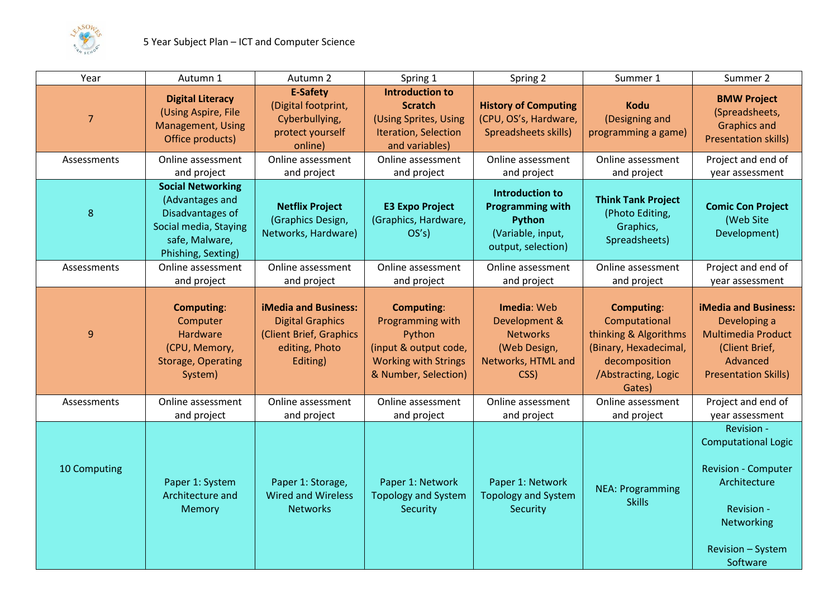

| Year           | Autumn 1                                                                                                                         | Autumn 2                                                                                                        | Spring 1                                                                                                                        | Spring 2                                                                                        | Summer 1                                                                                                                               | Summer 2                                                                                                                                                   |
|----------------|----------------------------------------------------------------------------------------------------------------------------------|-----------------------------------------------------------------------------------------------------------------|---------------------------------------------------------------------------------------------------------------------------------|-------------------------------------------------------------------------------------------------|----------------------------------------------------------------------------------------------------------------------------------------|------------------------------------------------------------------------------------------------------------------------------------------------------------|
| $\overline{7}$ | <b>Digital Literacy</b><br>(Using Aspire, File<br><b>Management, Using</b><br>Office products)                                   | <b>E-Safety</b><br>(Digital footprint,<br>Cyberbullying,<br>protect yourself<br>online)                         | <b>Introduction to</b><br><b>Scratch</b><br>(Using Sprites, Using<br>Iteration, Selection<br>and variables)                     | <b>History of Computing</b><br>(CPU, OS's, Hardware,<br>Spreadsheets skills)                    | <b>Kodu</b><br>(Designing and<br>programming a game)                                                                                   | <b>BMW Project</b><br>(Spreadsheets,<br><b>Graphics and</b><br><b>Presentation skills)</b>                                                                 |
| Assessments    | Online assessment<br>and project                                                                                                 | Online assessment<br>and project                                                                                | Online assessment<br>and project                                                                                                | Online assessment<br>and project                                                                | Online assessment<br>and project                                                                                                       | Project and end of<br>year assessment                                                                                                                      |
| 8              | <b>Social Networking</b><br>(Advantages and<br>Disadvantages of<br>Social media, Staying<br>safe, Malware,<br>Phishing, Sexting) | <b>Netflix Project</b><br>(Graphics Design,<br>Networks, Hardware)                                              | <b>E3 Expo Project</b><br>(Graphics, Hardware,<br>OS's)                                                                         | Introduction to<br><b>Programming with</b><br>Python<br>(Variable, input,<br>output, selection) | <b>Think Tank Project</b><br>(Photo Editing,<br>Graphics,<br>Spreadsheets)                                                             | <b>Comic Con Project</b><br>(Web Site<br>Development)                                                                                                      |
| Assessments    | Online assessment<br>and project                                                                                                 | Online assessment<br>and project                                                                                | Online assessment<br>and project                                                                                                | Online assessment<br>and project                                                                | Online assessment<br>and project                                                                                                       | Project and end of<br>year assessment                                                                                                                      |
| 9              | <b>Computing:</b><br>Computer<br>Hardware<br>(CPU, Memory,<br><b>Storage, Operating</b><br>System)                               | <b>iMedia and Business:</b><br><b>Digital Graphics</b><br>(Client Brief, Graphics<br>editing, Photo<br>Editing) | <b>Computing:</b><br>Programming with<br>Python<br>(input & output code,<br><b>Working with Strings</b><br>& Number, Selection) | Imedia: Web<br>Development &<br><b>Networks</b><br>(Web Design,<br>Networks, HTML and<br>CSS)   | <b>Computing:</b><br>Computational<br>thinking & Algorithms<br>(Binary, Hexadecimal,<br>decomposition<br>/Abstracting, Logic<br>Gates) | <b>iMedia and Business:</b><br>Developing a<br><b>Multimedia Product</b><br>(Client Brief,<br>Advanced<br><b>Presentation Skills)</b>                      |
| Assessments    | Online assessment<br>and project                                                                                                 | Online assessment<br>and project                                                                                | Online assessment<br>and project                                                                                                | Online assessment<br>and project                                                                | Online assessment<br>and project                                                                                                       | Project and end of<br>year assessment                                                                                                                      |
| 10 Computing   | Paper 1: System<br>Architecture and<br>Memory                                                                                    | Paper 1: Storage,<br><b>Wired and Wireless</b><br><b>Networks</b>                                               | Paper 1: Network<br><b>Topology and System</b><br>Security                                                                      | Paper 1: Network<br><b>Topology and System</b><br>Security                                      | <b>NEA: Programming</b><br><b>Skills</b>                                                                                               | Revision -<br><b>Computational Logic</b><br><b>Revision - Computer</b><br>Architecture<br>Revision -<br>Networking<br><b>Revision - System</b><br>Software |